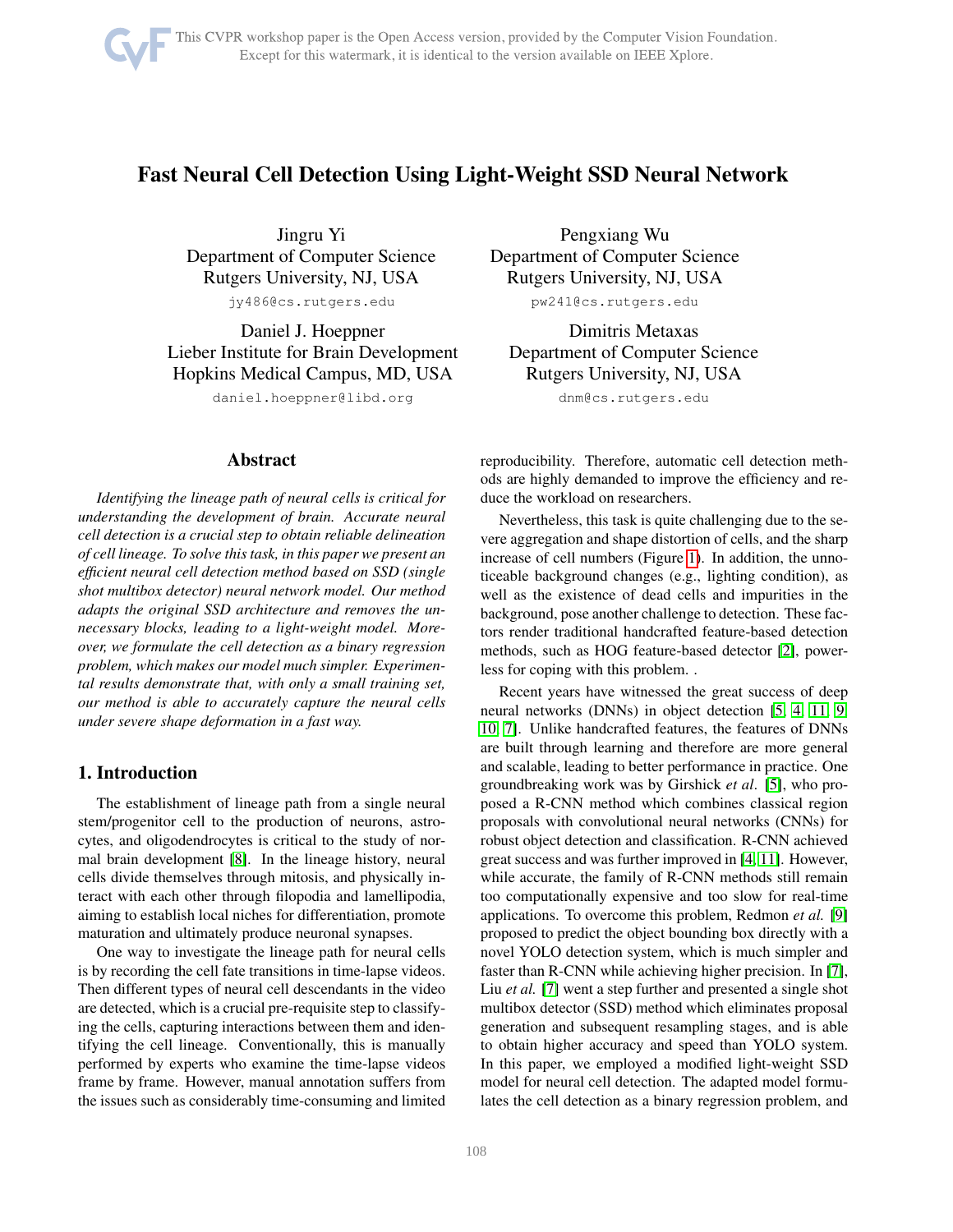# Fast Neural Cell Detection Using Light-Weight SSD Neural Network

Jingru Yi Department of Computer Science Rutgers University, NJ, USA jy486@cs.rutgers.edu

Daniel J. Hoeppner Lieber Institute for Brain Development Hopkins Medical Campus, MD, USA

daniel.hoeppner@libd.org

# Abstract

*Identifying the lineage path of neural cells is critical for understanding the development of brain. Accurate neural cell detection is a crucial step to obtain reliable delineation of cell lineage. To solve this task, in this paper we present an efficient neural cell detection method based on SSD (single shot multibox detector) neural network model. Our method adapts the original SSD architecture and removes the unnecessary blocks, leading to a light-weight model. Moreover, we formulate the cell detection as a binary regression problem, which makes our model much simpler. Experimental results demonstrate that, with only a small training set, our method is able to accurately capture the neural cells under severe shape deformation in a fast way.*

# 1. Introduction

The establishment of lineage path from a single neural stem/progenitor cell to the production of neurons, astrocytes, and oligodendrocytes is critical to the study of normal brain development [\[8\]](#page-4-0). In the lineage history, neural cells divide themselves through mitosis, and physically interact with each other through filopodia and lamellipodia, aiming to establish local niches for differentiation, promote maturation and ultimately produce neuronal synapses.

One way to investigate the lineage path for neural cells is by recording the cell fate transitions in time-lapse videos. Then different types of neural cell descendants in the video are detected, which is a crucial pre-requisite step to classifying the cells, capturing interactions between them and identifying the cell lineage. Conventionally, this is manually performed by experts who examine the time-lapse videos frame by frame. However, manual annotation suffers from the issues such as considerably time-consuming and limited

Pengxiang Wu Department of Computer Science Rutgers University, NJ, USA pw241@cs.rutgers.edu

Dimitris Metaxas Department of Computer Science Rutgers University, NJ, USA dnm@cs.rutgers.edu

reproducibility. Therefore, automatic cell detection methods are highly demanded to improve the efficiency and reduce the workload on researchers.

Nevertheless, this task is quite challenging due to the severe aggregation and shape distortion of cells, and the sharp increase of cell numbers (Figure [1\)](#page-1-0). In addition, the unnoticeable background changes (e.g., lighting condition), as well as the existence of dead cells and impurities in the background, pose another challenge to detection. These factors render traditional handcrafted feature-based detection methods, such as HOG feature-based detector [\[2\]](#page-3-0), powerless for coping with this problem. .

Recent years have witnessed the great success of deep neural networks (DNNs) in object detection [\[5,](#page-4-1) [4,](#page-3-1) [11,](#page-4-2) [9,](#page-4-3) [10,](#page-4-4) [7\]](#page-4-5). Unlike handcrafted features, the features of DNNs are built through learning and therefore are more general and scalable, leading to better performance in practice. One groundbreaking work was by Girshick *et al*. [\[5\]](#page-4-1), who proposed a R-CNN method which combines classical region proposals with convolutional neural networks (CNNs) for robust object detection and classification. R-CNN achieved great success and was further improved in [\[4,](#page-3-1) [11\]](#page-4-2). However, while accurate, the family of R-CNN methods still remain too computationally expensive and too slow for real-time applications. To overcome this problem, Redmon *et al.* [\[9\]](#page-4-3) proposed to predict the object bounding box directly with a novel YOLO detection system, which is much simpler and faster than R-CNN while achieving higher precision. In [\[7\]](#page-4-5), Liu *et al.* [\[7\]](#page-4-5) went a step further and presented a single shot multibox detector (SSD) method which eliminates proposal generation and subsequent resampling stages, and is able to obtain higher accuracy and speed than YOLO system. In this paper, we employed a modified light-weight SSD model for neural cell detection. The adapted model formulates the cell detection as a binary regression problem, and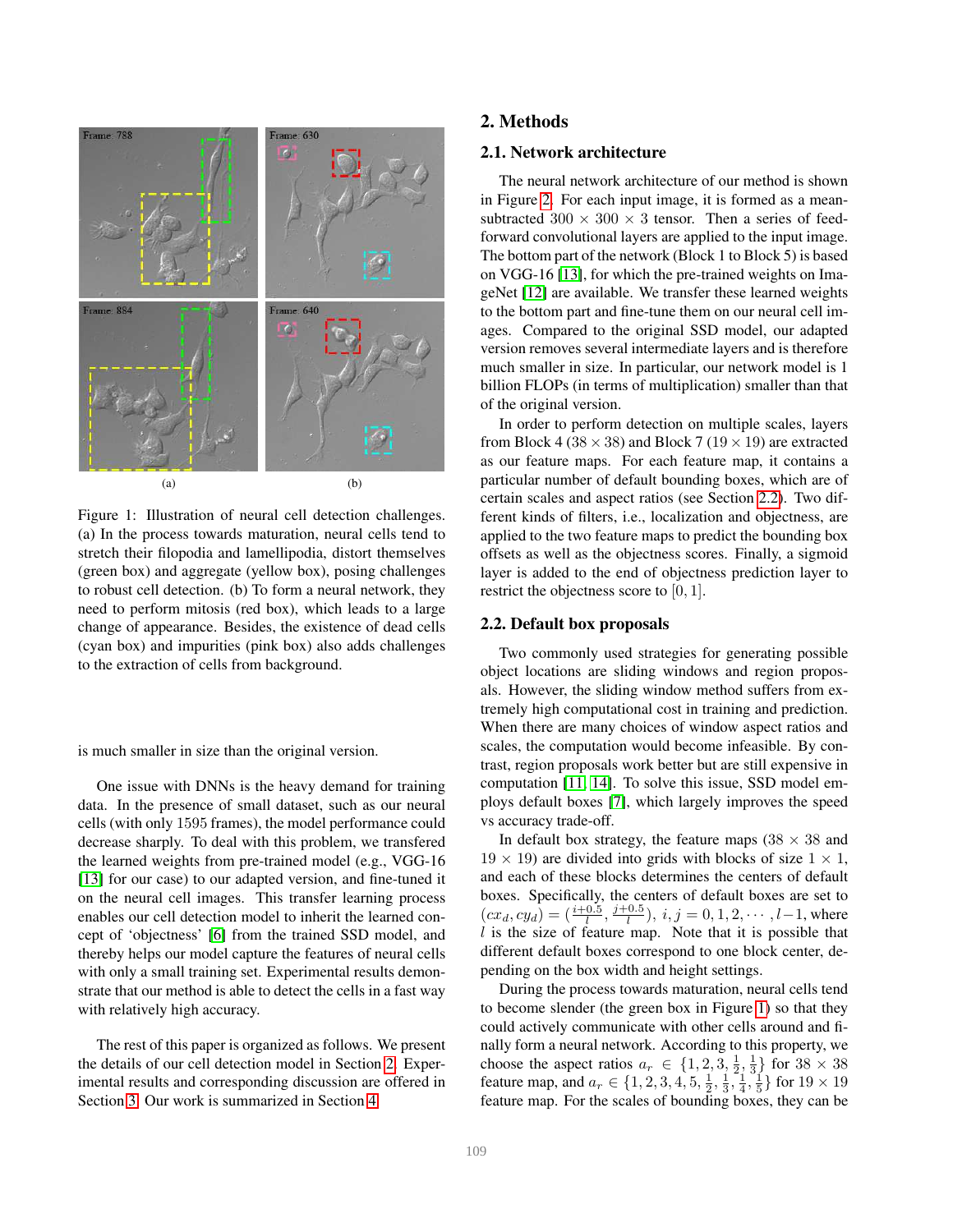<span id="page-1-0"></span>

Figure 1: Illustration of neural cell detection challenges. (a) In the process towards maturation, neural cells tend to stretch their filopodia and lamellipodia, distort themselves (green box) and aggregate (yellow box), posing challenges to robust cell detection. (b) To form a neural network, they need to perform mitosis (red box), which leads to a large change of appearance. Besides, the existence of dead cells (cyan box) and impurities (pink box) also adds challenges to the extraction of cells from background.

is much smaller in size than the original version.

One issue with DNNs is the heavy demand for training data. In the presence of small dataset, such as our neural cells (with only 1595 frames), the model performance could decrease sharply. To deal with this problem, we transfered the learned weights from pre-trained model (e.g., VGG-16 [\[13\]](#page-4-6) for our case) to our adapted version, and fine-tuned it on the neural cell images. This transfer learning process enables our cell detection model to inherit the learned concept of 'objectness' [\[6\]](#page-4-7) from the trained SSD model, and thereby helps our model capture the features of neural cells with only a small training set. Experimental results demonstrate that our method is able to detect the cells in a fast way with relatively high accuracy.

The rest of this paper is organized as follows. We present the details of our cell detection model in Section [2.](#page-1-1) Experimental results and corresponding discussion are offered in Section [3.](#page-3-2) Our work is summarized in Section [4.](#page-3-3)

# <span id="page-1-1"></span>2. Methods

### 2.1. Network architecture

The neural network architecture of our method is shown in Figure [2.](#page-2-0) For each input image, it is formed as a meansubtracted  $300 \times 300 \times 3$  tensor. Then a series of feedforward convolutional layers are applied to the input image. The bottom part of the network (Block 1 to Block 5) is based on VGG-16 [\[13\]](#page-4-6), for which the pre-trained weights on ImageNet [\[12\]](#page-4-8) are available. We transfer these learned weights to the bottom part and fine-tune them on our neural cell images. Compared to the original SSD model, our adapted version removes several intermediate layers and is therefore much smaller in size. In particular, our network model is 1 billion FLOPs (in terms of multiplication) smaller than that of the original version.

In order to perform detection on multiple scales, layers from Block 4 (38  $\times$  38) and Block 7 (19  $\times$  19) are extracted as our feature maps. For each feature map, it contains a particular number of default bounding boxes, which are of certain scales and aspect ratios (see Section [2.2\)](#page-1-2). Two different kinds of filters, i.e., localization and objectness, are applied to the two feature maps to predict the bounding box offsets as well as the objectness scores. Finally, a sigmoid layer is added to the end of objectness prediction layer to restrict the objectness score to [0, 1].

### <span id="page-1-2"></span>2.2. Default box proposals

Two commonly used strategies for generating possible object locations are sliding windows and region proposals. However, the sliding window method suffers from extremely high computational cost in training and prediction. When there are many choices of window aspect ratios and scales, the computation would become infeasible. By contrast, region proposals work better but are still expensive in computation [\[11,](#page-4-2) [14\]](#page-4-9). To solve this issue, SSD model employs default boxes [\[7\]](#page-4-5), which largely improves the speed vs accuracy trade-off.

In default box strategy, the feature maps  $(38 \times 38)$  and  $19 \times 19$ ) are divided into grids with blocks of size  $1 \times 1$ , and each of these blocks determines the centers of default boxes. Specifically, the centers of default boxes are set to  $(cx_d, cy_d) = (\frac{i+0.5}{l}, \frac{j+0.5}{l}), i, j = 0, 1, 2, \cdots, l-1$ , where  $l$  is the size of feature map. Note that it is possible that different default boxes correspond to one block center, depending on the box width and height settings.

During the process towards maturation, neural cells tend to become slender (the green box in Figure [1\)](#page-1-0) so that they could actively communicate with other cells around and finally form a neural network. According to this property, we choose the aspect ratios  $a_r \in \{1, 2, 3, \frac{1}{2}, \frac{1}{3}\}$  for  $38 \times 38$ feature map, and  $a_r \in \{1, 2, 3, 4, 5, \frac{1}{2}, \frac{1}{3}, \frac{1}{4}, \frac{1}{5}\}$  for  $19 \times 19$ feature map. For the scales of bounding boxes, they can be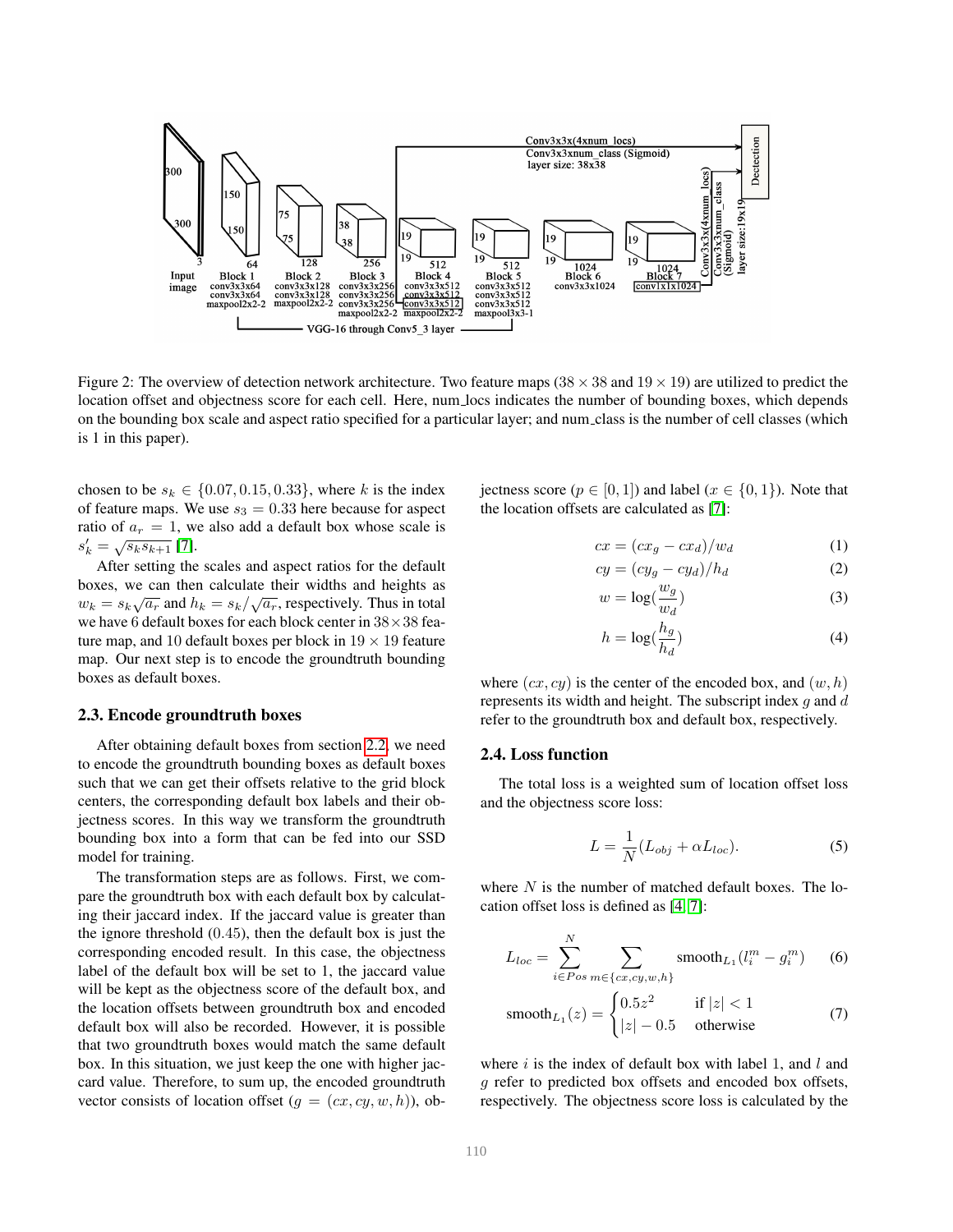<span id="page-2-0"></span>

Figure 2: The overview of detection network architecture. Two feature maps  $(38 \times 38 \text{ and } 19 \times 19)$  are utilized to predict the location offset and objectness score for each cell. Here, num locs indicates the number of bounding boxes, which depends on the bounding box scale and aspect ratio specified for a particular layer; and num class is the number of cell classes (which is 1 in this paper).

chosen to be  $s_k \in \{0.07, 0.15, 0.33\}$ , where k is the index of feature maps. We use  $s_3 = 0.33$  here because for aspect ratio of  $a_r = 1$ , we also add a default box whose scale is  $s'_{k} = \sqrt{s_{k}s_{k+1}}$  [\[7\]](#page-4-5).

After setting the scales and aspect ratios for the default boxes, we can then calculate their widths and heights as  $w_k = s_k \sqrt{a_r}$  and  $h_k = s_k/\sqrt{a_r}$ , respectively. Thus in total we have 6 default boxes for each block center in  $38 \times 38$  feature map, and 10 default boxes per block in  $19 \times 19$  feature map. Our next step is to encode the groundtruth bounding boxes as default boxes.

#### 2.3. Encode groundtruth boxes

After obtaining default boxes from section [2.2,](#page-1-2) we need to encode the groundtruth bounding boxes as default boxes such that we can get their offsets relative to the grid block centers, the corresponding default box labels and their objectness scores. In this way we transform the groundtruth bounding box into a form that can be fed into our SSD model for training.

The transformation steps are as follows. First, we compare the groundtruth box with each default box by calculating their jaccard index. If the jaccard value is greater than the ignore threshold (0.45), then the default box is just the corresponding encoded result. In this case, the objectness label of the default box will be set to 1, the jaccard value will be kept as the objectness score of the default box, and the location offsets between groundtruth box and encoded default box will also be recorded. However, it is possible that two groundtruth boxes would match the same default box. In this situation, we just keep the one with higher jaccard value. Therefore, to sum up, the encoded groundtruth vector consists of location offset  $(g = (cx, cy, w, h))$ , objectness score ( $p \in [0, 1]$ ) and label ( $x \in \{0, 1\}$ ). Note that the location offsets are calculated as [\[7\]](#page-4-5):

$$
cx = (cx_g - cx_d)/w_d \tag{1}
$$

$$
cy = (cy_g - cy_d)/h_d \tag{2}
$$

$$
w = \log(\frac{w_g}{w_d})\tag{3}
$$

$$
h = \log(\frac{h_g}{h_d})\tag{4}
$$

where  $(cx, cy)$  is the center of the encoded box, and  $(w, h)$ represents its width and height. The subscript index  $g$  and  $d$ refer to the groundtruth box and default box, respectively.

## 2.4. Loss function

The total loss is a weighted sum of location offset loss and the objectness score loss:

$$
L = \frac{1}{N}(L_{obj} + \alpha L_{loc}).
$$
 (5)

where  $N$  is the number of matched default boxes. The location offset loss is defined as [\[4,](#page-3-1) [7\]](#page-4-5):

$$
L_{loc} = \sum_{i \in Pos}^{N} \sum_{m \in \{cx, cy, w, h\}} \text{smooth}_{L_1}(l_i^m - g_i^m) \qquad (6)
$$

smooth<sub>L<sub>1</sub></sub>(z) = 
$$
\begin{cases} 0.5z^2 & \text{if } |z| < 1\\ |z| - 0.5 & \text{otherwise} \end{cases}
$$
 (7)

where  $i$  is the index of default box with label 1, and  $l$  and g refer to predicted box offsets and encoded box offsets, respectively. The objectness score loss is calculated by the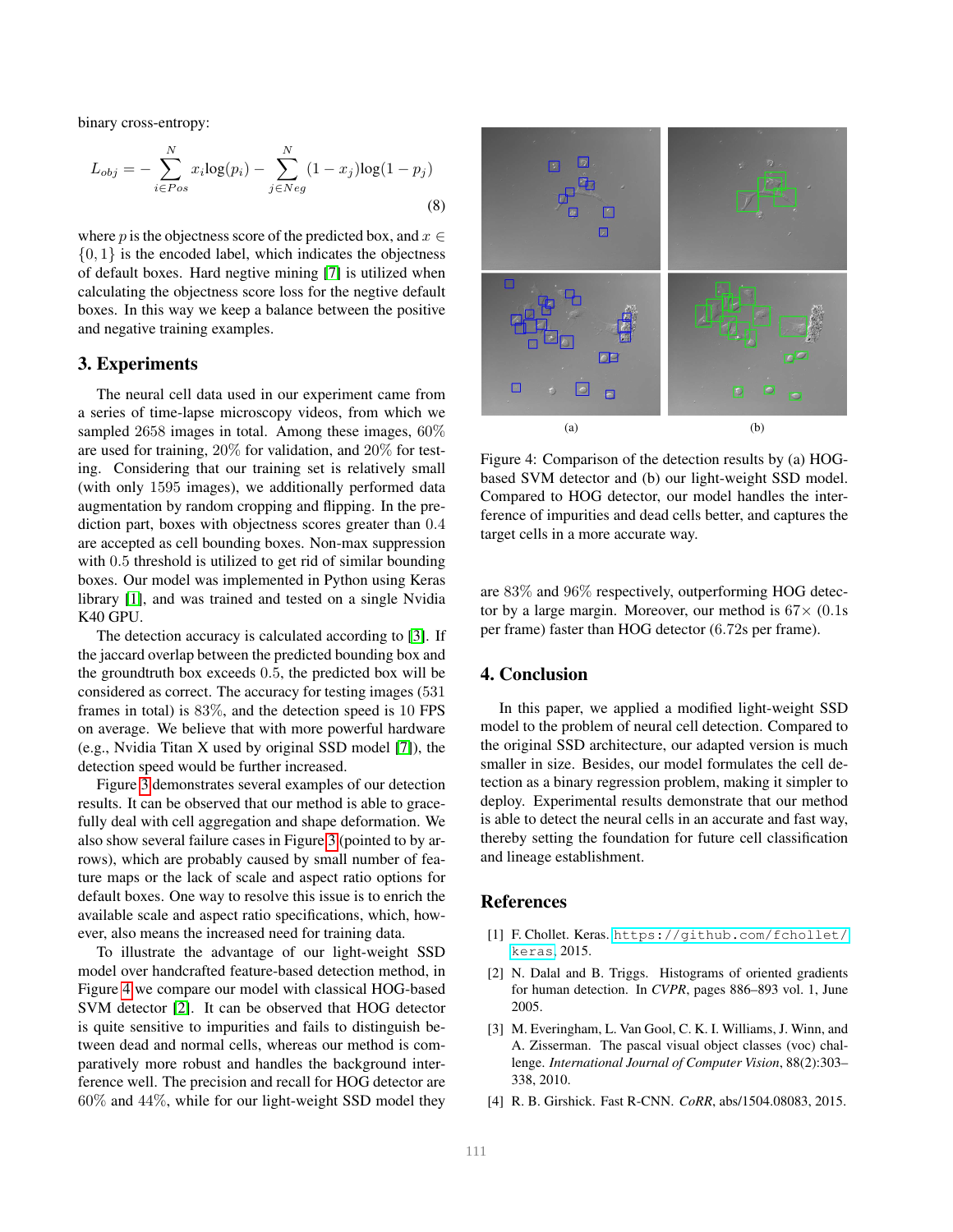binary cross-entropy:

$$
L_{obj} = -\sum_{i \in Pos}^{N} x_i \log(p_i) - \sum_{j \in Neg}^{N} (1 - x_j) \log(1 - p_j)
$$
\n(8)

where p is the objectness score of the predicted box, and  $x \in$  $\{0, 1\}$  is the encoded label, which indicates the objectness of default boxes. Hard negtive mining [\[7\]](#page-4-5) is utilized when calculating the objectness score loss for the negtive default boxes. In this way we keep a balance between the positive and negative training examples.

## <span id="page-3-2"></span>3. Experiments

The neural cell data used in our experiment came from a series of time-lapse microscopy videos, from which we sampled 2658 images in total. Among these images, 60% are used for training, 20% for validation, and 20% for testing. Considering that our training set is relatively small (with only 1595 images), we additionally performed data augmentation by random cropping and flipping. In the prediction part, boxes with objectness scores greater than 0.4 are accepted as cell bounding boxes. Non-max suppression with 0.5 threshold is utilized to get rid of similar bounding boxes. Our model was implemented in Python using Keras library [\[1\]](#page-3-4), and was trained and tested on a single Nvidia K40 GPU.

The detection accuracy is calculated according to [\[3\]](#page-3-5). If the jaccard overlap between the predicted bounding box and the groundtruth box exceeds 0.5, the predicted box will be considered as correct. The accuracy for testing images (531 frames in total) is 83%, and the detection speed is 10 FPS on average. We believe that with more powerful hardware (e.g., Nvidia Titan X used by original SSD model [\[7\]](#page-4-5)), the detection speed would be further increased.

Figure [3](#page-4-10) demonstrates several examples of our detection results. It can be observed that our method is able to gracefully deal with cell aggregation and shape deformation. We also show several failure cases in Figure [3](#page-4-10) (pointed to by arrows), which are probably caused by small number of feature maps or the lack of scale and aspect ratio options for default boxes. One way to resolve this issue is to enrich the available scale and aspect ratio specifications, which, however, also means the increased need for training data.

To illustrate the advantage of our light-weight SSD model over handcrafted feature-based detection method, in Figure [4](#page-3-6) we compare our model with classical HOG-based SVM detector [\[2\]](#page-3-0). It can be observed that HOG detector is quite sensitive to impurities and fails to distinguish between dead and normal cells, whereas our method is comparatively more robust and handles the background interference well. The precision and recall for HOG detector are 60% and 44%, while for our light-weight SSD model they

<span id="page-3-6"></span>

Figure 4: Comparison of the detection results by (a) HOGbased SVM detector and (b) our light-weight SSD model. Compared to HOG detector, our model handles the interference of impurities and dead cells better, and captures the target cells in a more accurate way.

are 83% and 96% respectively, outperforming HOG detector by a large margin. Moreover, our method is  $67 \times (0.1s)$ per frame) faster than HOG detector (6.72s per frame).

# <span id="page-3-3"></span>4. Conclusion

In this paper, we applied a modified light-weight SSD model to the problem of neural cell detection. Compared to the original SSD architecture, our adapted version is much smaller in size. Besides, our model formulates the cell detection as a binary regression problem, making it simpler to deploy. Experimental results demonstrate that our method is able to detect the neural cells in an accurate and fast way, thereby setting the foundation for future cell classification and lineage establishment.

# References

- <span id="page-3-4"></span>[1] F. Chollet. Keras. [https://github.com/fchollet/](https://github.com/fchollet/keras) [keras](https://github.com/fchollet/keras), 2015.
- <span id="page-3-0"></span>[2] N. Dalal and B. Triggs. Histograms of oriented gradients for human detection. In *CVPR*, pages 886–893 vol. 1, June 2005.
- <span id="page-3-5"></span>[3] M. Everingham, L. Van Gool, C. K. I. Williams, J. Winn, and A. Zisserman. The pascal visual object classes (voc) challenge. *International Journal of Computer Vision*, 88(2):303– 338, 2010.
- <span id="page-3-1"></span>[4] R. B. Girshick. Fast R-CNN. *CoRR*, abs/1504.08083, 2015.